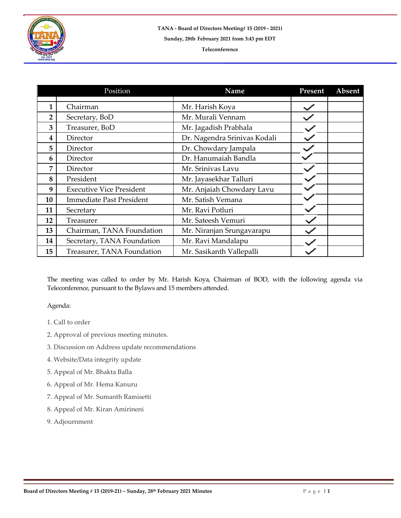

## **Teleconference**

|                | Position                        | Name                         | Present | Absent |
|----------------|---------------------------------|------------------------------|---------|--------|
| 1              | Chairman                        | Mr. Harish Koya              |         |        |
| $\overline{2}$ | Secretary, BoD                  | Mr. Murali Vennam            |         |        |
| 3              | Treasurer, BoD                  | Mr. Jagadish Prabhala        |         |        |
| 4              | Director                        | Dr. Nagendra Srinivas Kodali |         |        |
| 5              | Director                        | Dr. Chowdary Jampala         |         |        |
| 6              | Director                        | Dr. Hanumaiah Bandla         |         |        |
| 7              | Director                        | Mr. Srinivas Lavu            |         |        |
| 8              | President                       | Mr. Jayasekhar Talluri       |         |        |
| 9              | <b>Executive Vice President</b> | Mr. Anjaiah Chowdary Lavu    |         |        |
| 10             | <b>Immediate Past President</b> | Mr. Satish Vemana            |         |        |
| 11             | Secretary                       | Mr. Ravi Potluri             |         |        |
| 12             | Treasurer                       | Mr. Sateesh Vemuri           |         |        |
| 13             | Chairman, TANA Foundation       | Mr. Niranjan Srungavarapu    |         |        |
| 14             | Secretary, TANA Foundation      | Mr. Ravi Mandalapu           |         |        |
| 15             | Treasurer, TANA Foundation      | Mr. Sasikanth Vallepalli     |         |        |

The meeting was called to order by Mr. Harish Koya, Chairman of BOD, with the following agenda via Teleconference, pursuant to the Bylaws and 15 members attended.

## Agenda:

- 1. Call to order
- 2. Approval of previous meeting minutes.
- 3. Discussion on Address update recommendations
- 4. Website/Data integrity update
- 5. Appeal of Mr. Bhakta Balla
- 6. Appeal of Mr. Hema Kanuru
- 7. Appeal of Mr. Sumanth Ramisetti
- 8. Appeal of Mr. Kiran Amirineni
- 9. Adjournment